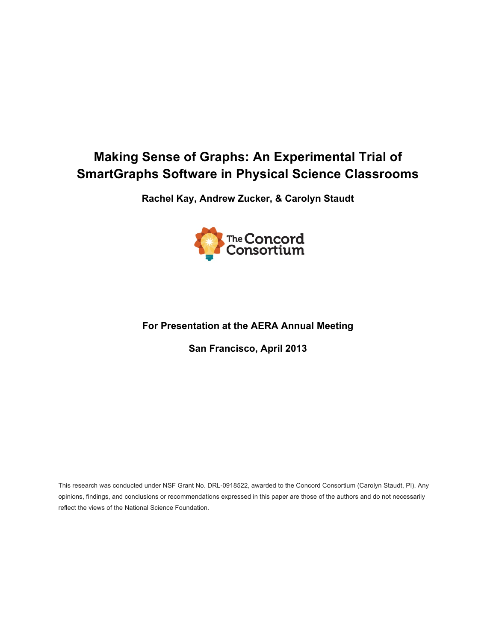# **Making Sense of Graphs: An Experimental Trial of SmartGraphs Software in Physical Science Classrooms**

**Rachel Kay, Andrew Zucker, & Carolyn Staudt**



# **For Presentation at the AERA Annual Meeting**

**San Francisco, April 2013**

This research was conducted under NSF Grant No. DRL-0918522, awarded to the Concord Consortium (Carolyn Staudt, PI). Any opinions, findings, and conclusions or recommendations expressed in this paper are those of the authors and do not necessarily reflect the views of the National Science Foundation.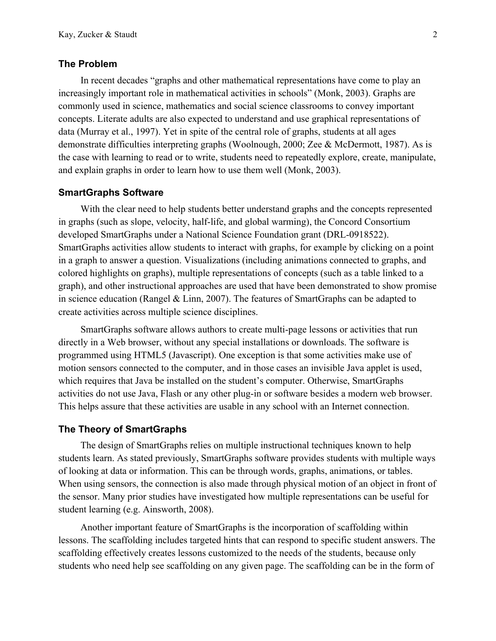### **The Problem**

In recent decades "graphs and other mathematical representations have come to play an increasingly important role in mathematical activities in schools" (Monk, 2003). Graphs are commonly used in science, mathematics and social science classrooms to convey important concepts. Literate adults are also expected to understand and use graphical representations of data (Murray et al., 1997). Yet in spite of the central role of graphs, students at all ages demonstrate difficulties interpreting graphs (Woolnough, 2000; Zee & McDermott, 1987). As is the case with learning to read or to write, students need to repeatedly explore, create, manipulate, and explain graphs in order to learn how to use them well (Monk, 2003).

#### **SmartGraphs Software**

With the clear need to help students better understand graphs and the concepts represented in graphs (such as slope, velocity, half-life, and global warming), the Concord Consortium developed SmartGraphs under a National Science Foundation grant (DRL-0918522). SmartGraphs activities allow students to interact with graphs, for example by clicking on a point in a graph to answer a question. Visualizations (including animations connected to graphs, and colored highlights on graphs), multiple representations of concepts (such as a table linked to a graph), and other instructional approaches are used that have been demonstrated to show promise in science education (Rangel & Linn, 2007). The features of SmartGraphs can be adapted to create activities across multiple science disciplines.

SmartGraphs software allows authors to create multi-page lessons or activities that run directly in a Web browser, without any special installations or downloads. The software is programmed using HTML5 (Javascript). One exception is that some activities make use of motion sensors connected to the computer, and in those cases an invisible Java applet is used, which requires that Java be installed on the student's computer. Otherwise, SmartGraphs activities do not use Java, Flash or any other plug-in or software besides a modern web browser. This helps assure that these activities are usable in any school with an Internet connection.

#### **The Theory of SmartGraphs**

The design of SmartGraphs relies on multiple instructional techniques known to help students learn. As stated previously, SmartGraphs software provides students with multiple ways of looking at data or information. This can be through words, graphs, animations, or tables. When using sensors, the connection is also made through physical motion of an object in front of the sensor. Many prior studies have investigated how multiple representations can be useful for student learning (e.g. Ainsworth, 2008).

Another important feature of SmartGraphs is the incorporation of scaffolding within lessons. The scaffolding includes targeted hints that can respond to specific student answers. The scaffolding effectively creates lessons customized to the needs of the students, because only students who need help see scaffolding on any given page. The scaffolding can be in the form of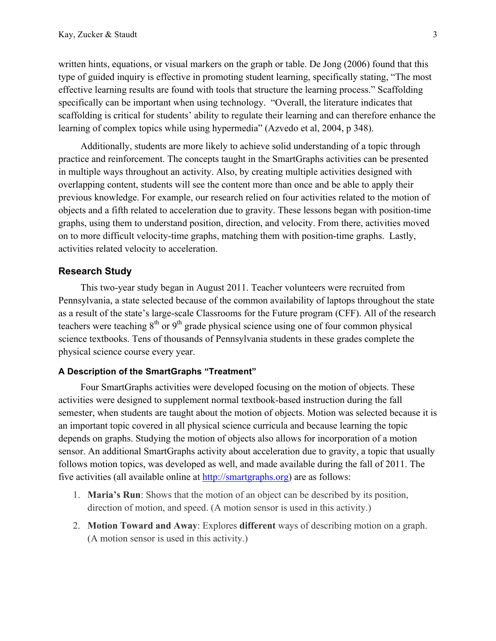written hints, equations, or visual markers on the graph or table. De Jong (2006) found that this type of guided inquiry is effective in promoting student learning, specifically stating, "The most effective learning results are found with tools that structure the learning process." Scaffolding specifically can be important when using technology. "Overall, the literature indicates that scaffolding is critical for students' ability to regulate their learning and can therefore enhance the learning of complex topics while using hypermedia" (Azvedo et al, 2004, p 348).

Additionally, students are more likely to achieve solid understanding of a topic through practice and reinforcement. The concepts taught in the SmartGraphs activities can be presented in multiple ways throughout an activity. Also, by creating multiple activities designed with overlapping content, students will see the content more than once and be able to apply their previous knowledge. For example, our research relied on four activities related to the motion of objects and a fifth related to acceleration due to gravity. These lessons began with position-time graphs, using them to understand position, direction, and velocity. From there, activities moved on to more difficult velocity-time graphs, matching them with position-time graphs. Lastly, activities related velocity to acceleration.

### **Research Study**

This two-year study began in August 2011. Teacher volunteers were recruited from Pennsylvania, a state selected because of the common availability of laptops throughout the state as a result of the state's large-scale Classrooms for the Future program (CFF). All of the research teachers were teaching  $8<sup>th</sup>$  or  $9<sup>th</sup>$  grade physical science using one of four common physical science textbooks. Tens of thousands of Pennsylvania students in these grades complete the physical science course every year.

#### **A Description of the SmartGraphs "Treatment"**

Four SmartGraphs activities were developed focusing on the motion of objects. These activities were designed to supplement normal textbook-based instruction during the fall semester, when students are taught about the motion of objects. Motion was selected because it is an important topic covered in all physical science curricula and because learning the topic depends on graphs. Studying the motion of objects also allows for incorporation of a motion sensor. An additional SmartGraphs activity about acceleration due to gravity, a topic that usually follows motion topics, was developed as well, and made available during the fall of 2011. The five activities (all available online at http://smartgraphs.org) are as follows:

- 1. **Maria's Run**: Shows that the motion of an object can be described by its position, direction of motion, and speed. (A motion sensor is used in this activity.)
- 2. **Motion Toward and Away**: Explores **different** ways of describing motion on a graph. (A motion sensor is used in this activity.)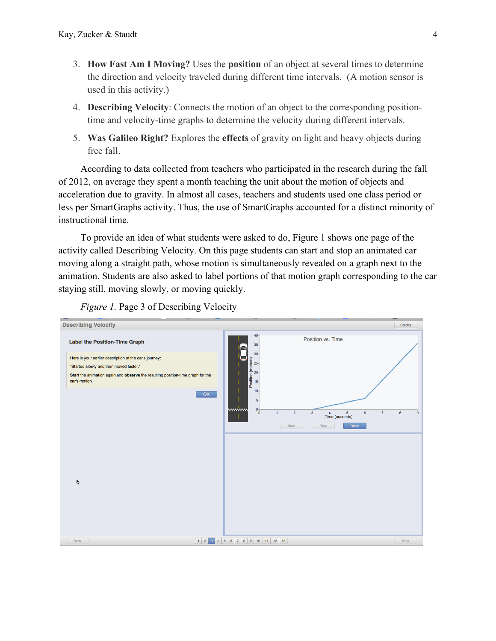- 3. **How Fast Am I Moving?** Uses the **position** of an object at several times to determine the direction and velocity traveled during different time intervals. (A motion sensor is used in this activity.)
- 4. **Describing Velocity**: Connects the motion of an object to the corresponding positiontime and velocity-time graphs to determine the velocity during different intervals.
- 5. **Was Galileo Right?** Explores the **effects** of gravity on light and heavy objects during free fall.

According to data collected from teachers who participated in the research during the fall of 2012, on average they spent a month teaching the unit about the motion of objects and acceleration due to gravity. In almost all cases, teachers and students used one class period or less per SmartGraphs activity. Thus, the use of SmartGraphs accounted for a distinct minority of instructional time.

To provide an idea of what students were asked to do, Figure 1 shows one page of the activity called Describing Velocity. On this page students can start and stop an animated car moving along a straight path, whose motion is simultaneously revealed on a graph next to the animation. Students are also asked to label portions of that motion graph corresponding to the car staying still, moving slowly, or moving quickly.



*Figure 1.* Page 3 of Describing Velocity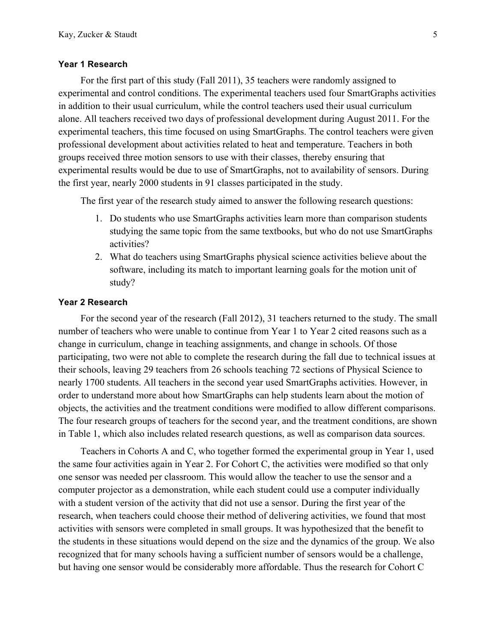#### **Year 1 Research**

For the first part of this study (Fall 2011), 35 teachers were randomly assigned to experimental and control conditions. The experimental teachers used four SmartGraphs activities in addition to their usual curriculum, while the control teachers used their usual curriculum alone. All teachers received two days of professional development during August 2011. For the experimental teachers, this time focused on using SmartGraphs. The control teachers were given professional development about activities related to heat and temperature. Teachers in both groups received three motion sensors to use with their classes, thereby ensuring that experimental results would be due to use of SmartGraphs, not to availability of sensors. During the first year, nearly 2000 students in 91 classes participated in the study.

The first year of the research study aimed to answer the following research questions:

- 1. Do students who use SmartGraphs activities learn more than comparison students studying the same topic from the same textbooks, but who do not use SmartGraphs activities?
- 2. What do teachers using SmartGraphs physical science activities believe about the software, including its match to important learning goals for the motion unit of study?

#### **Year 2 Research**

For the second year of the research (Fall 2012), 31 teachers returned to the study. The small number of teachers who were unable to continue from Year 1 to Year 2 cited reasons such as a change in curriculum, change in teaching assignments, and change in schools. Of those participating, two were not able to complete the research during the fall due to technical issues at their schools, leaving 29 teachers from 26 schools teaching 72 sections of Physical Science to nearly 1700 students. All teachers in the second year used SmartGraphs activities. However, in order to understand more about how SmartGraphs can help students learn about the motion of objects, the activities and the treatment conditions were modified to allow different comparisons. The four research groups of teachers for the second year, and the treatment conditions, are shown in Table 1, which also includes related research questions, as well as comparison data sources.

Teachers in Cohorts A and C, who together formed the experimental group in Year 1, used the same four activities again in Year 2. For Cohort C, the activities were modified so that only one sensor was needed per classroom. This would allow the teacher to use the sensor and a computer projector as a demonstration, while each student could use a computer individually with a student version of the activity that did not use a sensor. During the first year of the research, when teachers could choose their method of delivering activities, we found that most activities with sensors were completed in small groups. It was hypothesized that the benefit to the students in these situations would depend on the size and the dynamics of the group. We also recognized that for many schools having a sufficient number of sensors would be a challenge, but having one sensor would be considerably more affordable. Thus the research for Cohort C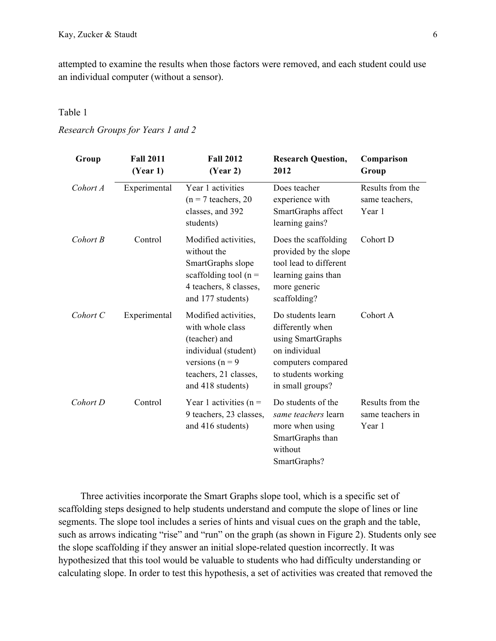attempted to examine the results when those factors were removed, and each student could use an individual computer (without a sensor).

### Table 1

### *Research Groups for Years 1 and 2*

| Group    | <b>Fall 2011</b><br>(Year 1) | <b>Fall 2012</b><br>(Year 2)                                                                                                                          | <b>Research Question,</b><br>2012                                                                                                            | Comparison<br>Group                            |
|----------|------------------------------|-------------------------------------------------------------------------------------------------------------------------------------------------------|----------------------------------------------------------------------------------------------------------------------------------------------|------------------------------------------------|
| Cohort A | Experimental                 | Year 1 activities<br>$(n = 7$ teachers, 20<br>classes, and 392<br>students)                                                                           | Does teacher<br>experience with<br>SmartGraphs affect<br>learning gains?                                                                     | Results from the<br>same teachers,<br>Year 1   |
| Cohort B | Control                      | Modified activities,<br>without the<br>SmartGraphs slope<br>scaffolding tool ( $n =$<br>4 teachers, 8 classes,<br>and 177 students)                   | Does the scaffolding<br>provided by the slope<br>tool lead to different<br>learning gains than<br>more generic<br>scaffolding?               | Cohort D                                       |
| Cohort C | Experimental                 | Modified activities,<br>with whole class<br>(teacher) and<br>individual (student)<br>versions ( $n = 9$<br>teachers, 21 classes,<br>and 418 students) | Do students learn<br>differently when<br>using SmartGraphs<br>on individual<br>computers compared<br>to students working<br>in small groups? | Cohort A                                       |
| Cohort D | Control                      | Year 1 activities ( $n =$<br>9 teachers, 23 classes,<br>and 416 students)                                                                             | Do students of the<br>same teachers learn<br>more when using<br>SmartGraphs than<br>without<br>SmartGraphs?                                  | Results from the<br>same teachers in<br>Year 1 |

Three activities incorporate the Smart Graphs slope tool, which is a specific set of scaffolding steps designed to help students understand and compute the slope of lines or line segments. The slope tool includes a series of hints and visual cues on the graph and the table, such as arrows indicating "rise" and "run" on the graph (as shown in Figure 2). Students only see the slope scaffolding if they answer an initial slope-related question incorrectly. It was hypothesized that this tool would be valuable to students who had difficulty understanding or calculating slope. In order to test this hypothesis, a set of activities was created that removed the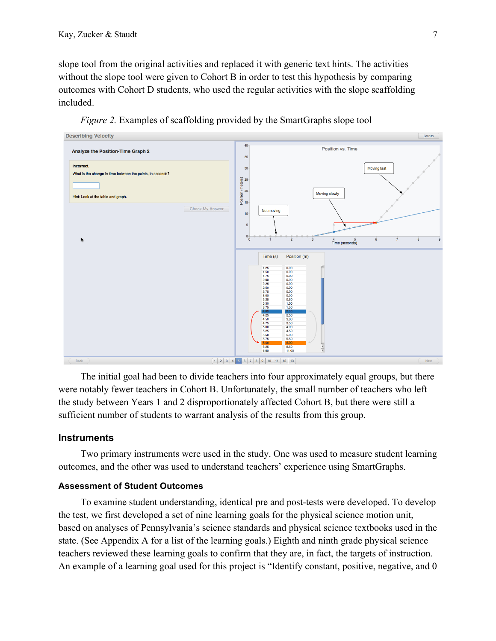slope tool from the original activities and replaced it with generic text hints. The activities without the slope tool were given to Cohort B in order to test this hypothesis by comparing outcomes with Cohort D students, who used the regular activities with the slope scaffolding included.



*Figure 2.* Examples of scaffolding provided by the SmartGraphs slope tool

The initial goal had been to divide teachers into four approximately equal groups, but there were notably fewer teachers in Cohort B. Unfortunately, the small number of teachers who left the study between Years 1 and 2 disproportionately affected Cohort B, but there were still a sufficient number of students to warrant analysis of the results from this group.

### **Instruments**

Two primary instruments were used in the study. One was used to measure student learning outcomes, and the other was used to understand teachers' experience using SmartGraphs.

### **Assessment of Student Outcomes**

To examine student understanding, identical pre and post-tests were developed. To develop the test, we first developed a set of nine learning goals for the physical science motion unit, based on analyses of Pennsylvania's science standards and physical science textbooks used in the state. (See Appendix A for a list of the learning goals.) Eighth and ninth grade physical science teachers reviewed these learning goals to confirm that they are, in fact, the targets of instruction. An example of a learning goal used for this project is "Identify constant, positive, negative, and 0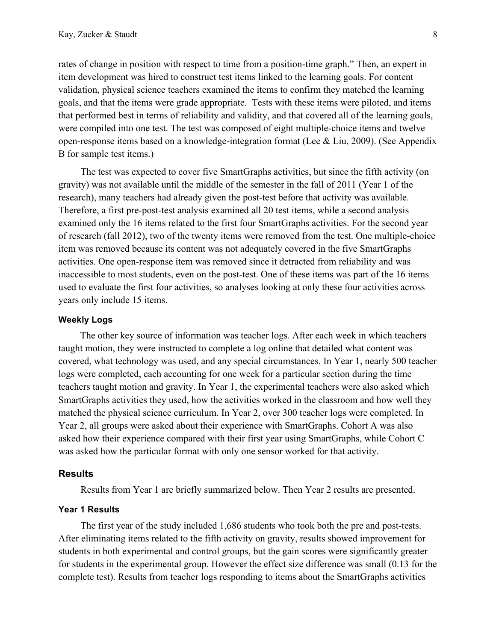rates of change in position with respect to time from a position-time graph." Then, an expert in item development was hired to construct test items linked to the learning goals. For content validation, physical science teachers examined the items to confirm they matched the learning goals, and that the items were grade appropriate. Tests with these items were piloted, and items that performed best in terms of reliability and validity, and that covered all of the learning goals, were compiled into one test. The test was composed of eight multiple-choice items and twelve open-response items based on a knowledge-integration format (Lee & Liu, 2009). (See Appendix B for sample test items.)

The test was expected to cover five SmartGraphs activities, but since the fifth activity (on gravity) was not available until the middle of the semester in the fall of 2011 (Year 1 of the research), many teachers had already given the post-test before that activity was available. Therefore, a first pre-post-test analysis examined all 20 test items, while a second analysis examined only the 16 items related to the first four SmartGraphs activities. For the second year of research (fall 2012), two of the twenty items were removed from the test. One multiple-choice item was removed because its content was not adequately covered in the five SmartGraphs activities. One open-response item was removed since it detracted from reliability and was inaccessible to most students, even on the post-test. One of these items was part of the 16 items used to evaluate the first four activities, so analyses looking at only these four activities across years only include 15 items.

#### **Weekly Logs**

The other key source of information was teacher logs. After each week in which teachers taught motion, they were instructed to complete a log online that detailed what content was covered, what technology was used, and any special circumstances. In Year 1, nearly 500 teacher logs were completed, each accounting for one week for a particular section during the time teachers taught motion and gravity. In Year 1, the experimental teachers were also asked which SmartGraphs activities they used, how the activities worked in the classroom and how well they matched the physical science curriculum. In Year 2, over 300 teacher logs were completed. In Year 2, all groups were asked about their experience with SmartGraphs. Cohort A was also asked how their experience compared with their first year using SmartGraphs, while Cohort C was asked how the particular format with only one sensor worked for that activity.

#### **Results**

Results from Year 1 are briefly summarized below. Then Year 2 results are presented.

#### **Year 1 Results**

The first year of the study included 1,686 students who took both the pre and post-tests. After eliminating items related to the fifth activity on gravity, results showed improvement for students in both experimental and control groups, but the gain scores were significantly greater for students in the experimental group. However the effect size difference was small (0.13 for the complete test). Results from teacher logs responding to items about the SmartGraphs activities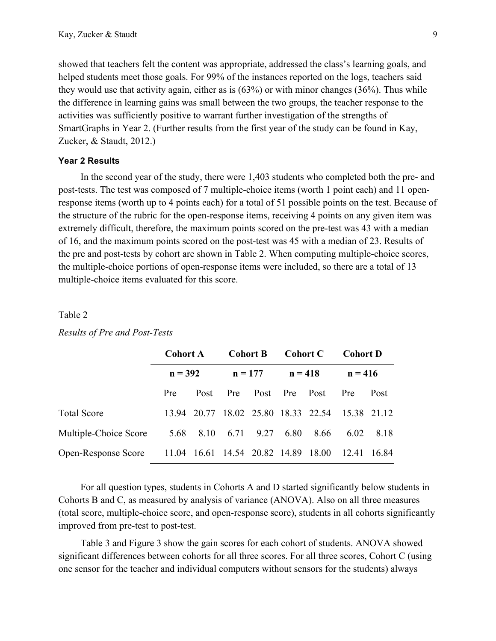showed that teachers felt the content was appropriate, addressed the class's learning goals, and helped students meet those goals. For 99% of the instances reported on the logs, teachers said they would use that activity again, either as is (63%) or with minor changes (36%). Thus while the difference in learning gains was small between the two groups, the teacher response to the activities was sufficiently positive to warrant further investigation of the strengths of SmartGraphs in Year 2. (Further results from the first year of the study can be found in Kay, Zucker, & Staudt, 2012.)

#### **Year 2 Results**

In the second year of the study, there were 1,403 students who completed both the pre- and post-tests. The test was composed of 7 multiple-choice items (worth 1 point each) and 11 openresponse items (worth up to 4 points each) for a total of 51 possible points on the test. Because of the structure of the rubric for the open-response items, receiving 4 points on any given item was extremely difficult, therefore, the maximum points scored on the pre-test was 43 with a median of 16, and the maximum points scored on the post-test was 45 with a median of 23. Results of the pre and post-tests by cohort are shown in Table 2. When computing multiple-choice scores, the multiple-choice portions of open-response items were included, so there are a total of 13 multiple-choice items evaluated for this score.

#### Table 2

|                            | <b>Cohort A</b><br>$n = 392$ |                                     | <b>Cohort B</b><br>$n = 177$ |      | <b>Cohort C</b><br>$n = 418$ |      | <b>Cohort D</b><br>$n = 416$                    |      |
|----------------------------|------------------------------|-------------------------------------|------------------------------|------|------------------------------|------|-------------------------------------------------|------|
|                            |                              |                                     |                              |      |                              |      |                                                 |      |
|                            | Pre                          | Post                                | <b>Pre</b>                   |      | Post Pre Post                |      | Pre                                             | Post |
| <b>Total Score</b>         |                              |                                     |                              |      |                              |      | 13.94 20.77 18.02 25.80 18.33 22.54 15.38 21.12 |      |
| Multiple-Choice Score      |                              | 5.68 8.10 6.71                      |                              | 9.27 | 6.80                         | 8.66 | 6.02                                            | 8.18 |
| <b>Open-Response Score</b> |                              | 11.04 16.61 14.54 20.82 14.89 18.00 |                              |      |                              |      | 12.41 16.84                                     |      |

#### *Results of Pre and Post-Tests*

For all question types, students in Cohorts A and D started significantly below students in Cohorts B and C, as measured by analysis of variance (ANOVA). Also on all three measures (total score, multiple-choice score, and open-response score), students in all cohorts significantly improved from pre-test to post-test.

Table 3 and Figure 3 show the gain scores for each cohort of students. ANOVA showed significant differences between cohorts for all three scores. For all three scores, Cohort C (using one sensor for the teacher and individual computers without sensors for the students) always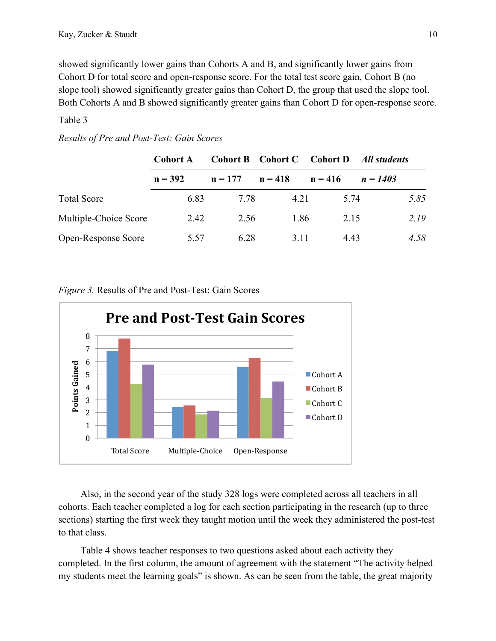showed significantly lower gains than Cohorts A and B, and significantly lower gains from Cohort D for total score and open-response score. For the total test score gain, Cohort B (no slope tool) showed significantly greater gains than Cohort D, the group that used the slope tool. Both Cohorts A and B showed significantly greater gains than Cohort D for open-response score.

# Table 3

|                            | Cohort A  | <b>Cohort B</b> | Cohort C  | Cohort D  | All students |
|----------------------------|-----------|-----------------|-----------|-----------|--------------|
|                            | $n = 392$ | $n = 177$       | $n = 418$ | $n = 416$ | $n = 1403$   |
| <b>Total Score</b>         | 6.83      | 7 78            | 4.21      | 5.74      | 5.85         |
| Multiple-Choice Score      | 2.42      | 2.56            | 1.86      | 2.15      | 2.19         |
| <b>Open-Response Score</b> | 5.57      | 6.28            | 3 1 1     | 4.43      | 4.58         |

### *Results of Pre and Post-Test: Gain Scores*

*Figure 3.* Results of Pre and Post-Test: Gain Scores



Also, in the second year of the study 328 logs were completed across all teachers in all cohorts. Each teacher completed a log for each section participating in the research (up to three sections) starting the first week they taught motion until the week they administered the post-test to that class.

Table 4 shows teacher responses to two questions asked about each activity they completed. In the first column, the amount of agreement with the statement "The activity helped my students meet the learning goals" is shown. As can be seen from the table, the great majority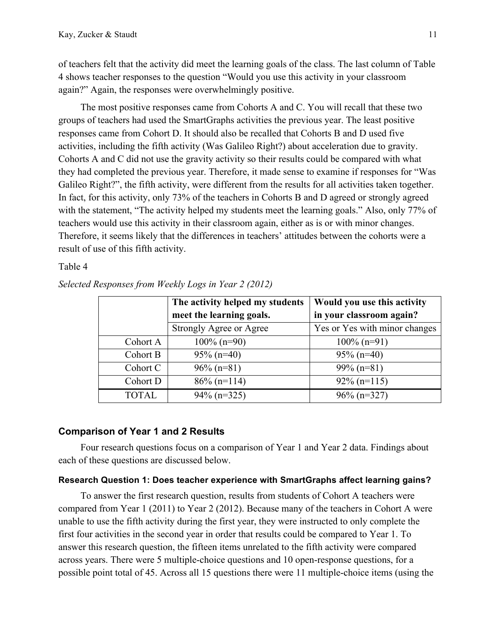of teachers felt that the activity did meet the learning goals of the class. The last column of Table 4 shows teacher responses to the question "Would you use this activity in your classroom again?" Again, the responses were overwhelmingly positive.

The most positive responses came from Cohorts A and C. You will recall that these two groups of teachers had used the SmartGraphs activities the previous year. The least positive responses came from Cohort D. It should also be recalled that Cohorts B and D used five activities, including the fifth activity (Was Galileo Right?) about acceleration due to gravity. Cohorts A and C did not use the gravity activity so their results could be compared with what they had completed the previous year. Therefore, it made sense to examine if responses for "Was Galileo Right?", the fifth activity, were different from the results for all activities taken together. In fact, for this activity, only 73% of the teachers in Cohorts B and D agreed or strongly agreed with the statement, "The activity helped my students meet the learning goals." Also, only 77% of teachers would use this activity in their classroom again, either as is or with minor changes. Therefore, it seems likely that the differences in teachers' attitudes between the cohorts were a result of use of this fifth activity.

### Table 4

|          | The activity helped my students | Would you use this activity   |
|----------|---------------------------------|-------------------------------|
|          | meet the learning goals.        | in your classroom again?      |
|          | Strongly Agree or Agree         | Yes or Yes with minor changes |
| Cohort A | $100\%$ (n=90)                  | $100\%$ (n=91)                |
| Cohort B | $95\%$ (n=40)                   | $95\%$ (n=40)                 |
| Cohort C | $96\%$ (n=81)                   | $99\%$ (n=81)                 |
| Cohort D | $86\%$ (n=114)                  | $92\%$ (n=115)                |
| TOTAL.   | $94\%$ (n=325)                  | $96\%$ (n=327)                |

*Selected Responses from Weekly Logs in Year 2 (2012)*

# **Comparison of Year 1 and 2 Results**

Four research questions focus on a comparison of Year 1 and Year 2 data. Findings about each of these questions are discussed below.

### **Research Question 1: Does teacher experience with SmartGraphs affect learning gains?**

To answer the first research question, results from students of Cohort A teachers were compared from Year 1 (2011) to Year 2 (2012). Because many of the teachers in Cohort A were unable to use the fifth activity during the first year, they were instructed to only complete the first four activities in the second year in order that results could be compared to Year 1. To answer this research question, the fifteen items unrelated to the fifth activity were compared across years. There were 5 multiple-choice questions and 10 open-response questions, for a possible point total of 45. Across all 15 questions there were 11 multiple-choice items (using the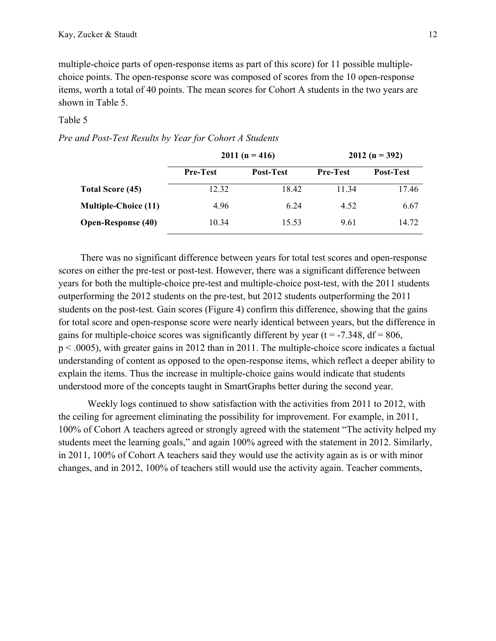multiple-choice parts of open-response items as part of this score) for 11 possible multiplechoice points. The open-response score was composed of scores from the 10 open-response items, worth a total of 40 points. The mean scores for Cohort A students in the two years are shown in Table 5.

### Table 5

*Pre and Post-Test Results by Year for Cohort A Students*

|                             |                 | $2011(n = 416)$  | $2012(n = 392)$ |           |  |
|-----------------------------|-----------------|------------------|-----------------|-----------|--|
|                             | <b>Pre-Test</b> | <b>Post-Test</b> | <b>Pre-Test</b> | Post-Test |  |
| Total Score (45)            | 12.32           | 18.42            | 11.34           | 17.46     |  |
| <b>Multiple-Choice (11)</b> | 4.96            | 6.24             | 4.52            | 6.67      |  |
| <b>Open-Response (40)</b>   | 10.34           | 15.53            | 9.61            | 14.72     |  |

There was no significant difference between years for total test scores and open-response scores on either the pre-test or post-test. However, there was a significant difference between years for both the multiple-choice pre-test and multiple-choice post-test, with the 2011 students outperforming the 2012 students on the pre-test, but 2012 students outperforming the 2011 students on the post-test. Gain scores (Figure 4) confirm this difference, showing that the gains for total score and open-response score were nearly identical between years, but the difference in gains for multiple-choice scores was significantly different by year ( $t = -7.348$ ,  $df = 806$ , p < .0005), with greater gains in 2012 than in 2011. The multiple-choice score indicates a factual understanding of content as opposed to the open-response items, which reflect a deeper ability to explain the items. Thus the increase in multiple-choice gains would indicate that students understood more of the concepts taught in SmartGraphs better during the second year.

Weekly logs continued to show satisfaction with the activities from 2011 to 2012, with the ceiling for agreement eliminating the possibility for improvement. For example, in 2011, 100% of Cohort A teachers agreed or strongly agreed with the statement "The activity helped my students meet the learning goals," and again 100% agreed with the statement in 2012. Similarly, in 2011, 100% of Cohort A teachers said they would use the activity again as is or with minor changes, and in 2012, 100% of teachers still would use the activity again. Teacher comments,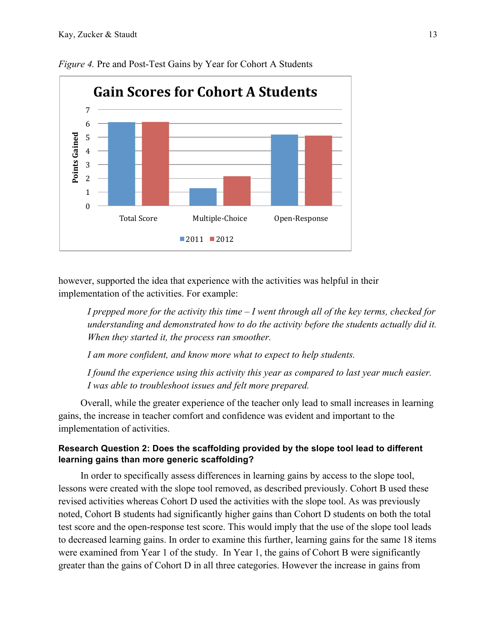

*Figure 4.* Pre and Post-Test Gains by Year for Cohort A Students

however, supported the idea that experience with the activities was helpful in their implementation of the activities. For example:

*I prepped more for the activity this time – I went through all of the key terms, checked for understanding and demonstrated how to do the activity before the students actually did it. When they started it, the process ran smoother.*

*I am more confident, and know more what to expect to help students.*

*I found the experience using this activity this year as compared to last year much easier. I was able to troubleshoot issues and felt more prepared.*

Overall, while the greater experience of the teacher only lead to small increases in learning gains, the increase in teacher comfort and confidence was evident and important to the implementation of activities.

# **Research Question 2: Does the scaffolding provided by the slope tool lead to different learning gains than more generic scaffolding?**

In order to specifically assess differences in learning gains by access to the slope tool, lessons were created with the slope tool removed, as described previously. Cohort B used these revised activities whereas Cohort D used the activities with the slope tool. As was previously noted, Cohort B students had significantly higher gains than Cohort D students on both the total test score and the open-response test score. This would imply that the use of the slope tool leads to decreased learning gains. In order to examine this further, learning gains for the same 18 items were examined from Year 1 of the study. In Year 1, the gains of Cohort B were significantly greater than the gains of Cohort D in all three categories. However the increase in gains from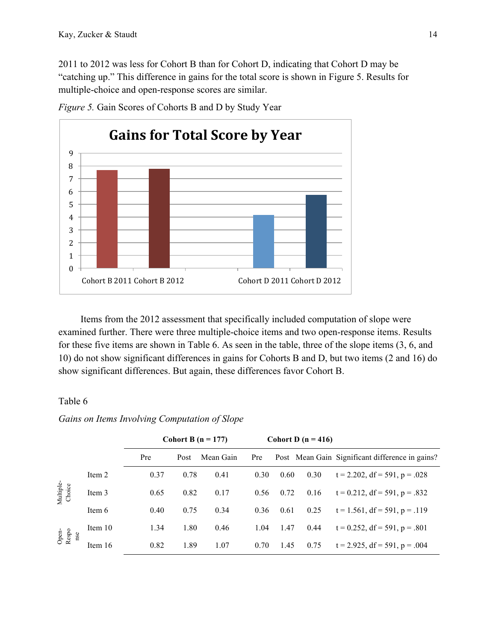2011 to 2012 was less for Cohort B than for Cohort D, indicating that Cohort D may be "catching up." This difference in gains for the total score is shown in Figure 5. Results for multiple-choice and open-response scores are similar.



*Figure 5.* Gain Scores of Cohorts B and D by Study Year

Items from the 2012 assessment that specifically included computation of slope were examined further. There were three multiple-choice items and two open-response items. Results for these five items are shown in Table 6. As seen in the table, three of the slope items (3, 6, and 10) do not show significant differences in gains for Cohorts B and D, but two items (2 and 16) do show significant differences. But again, these differences favor Cohort B.

# Table 6

*Gains on Items Involving Computation of Slope*

|                       |         |      |      | Cohort B ( $n = 177$ ) | Cohort D $(n = 416)$ |      |      |                                                 |
|-----------------------|---------|------|------|------------------------|----------------------|------|------|-------------------------------------------------|
|                       |         | Pre  | Post | Mean Gain              | Pre                  |      |      | Post Mean Gain Significant difference in gains? |
|                       | Item 2  | 0.37 | 0.78 | 0.41                   | 0.30                 | 0.60 | 0.30 | $t = 2.202$ , df = 591, p = .028                |
| Multiple-<br>Choice   | Item 3  | 0.65 | 0.82 | 0.17                   | 0.56                 | 0.72 | 0.16 | $t = 0.212$ , df = 591, p = .832                |
|                       | Item 6  | 0.40 | 0.75 | 0.34                   | 0.36                 | 0.61 | 0.25 | $t = 1.561$ , df = 591, p = .119                |
| Open-<br>Respo<br>nse | Item 10 | 1.34 | 1.80 | 0.46                   | 1.04                 | 1.47 | 0.44 | $t = 0.252$ , df = 591, p = .801                |
|                       | Item 16 | 0.82 | 1.89 | 1.07                   | 0.70                 | 1.45 | 0.75 | $t = 2.925$ , df = 591, p = .004                |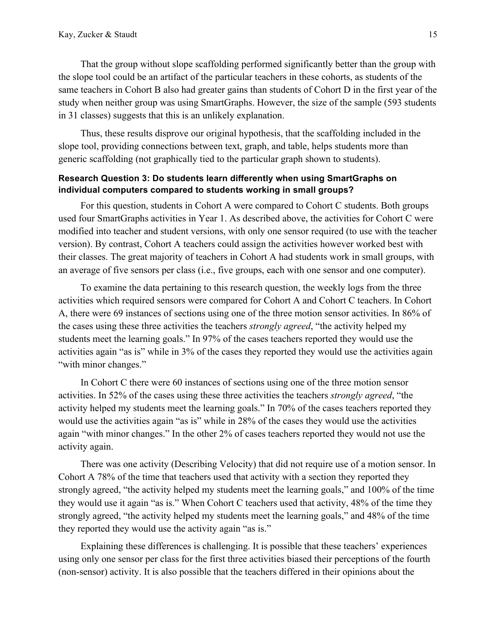That the group without slope scaffolding performed significantly better than the group with the slope tool could be an artifact of the particular teachers in these cohorts, as students of the same teachers in Cohort B also had greater gains than students of Cohort D in the first year of the study when neither group was using SmartGraphs. However, the size of the sample (593 students in 31 classes) suggests that this is an unlikely explanation.

Thus, these results disprove our original hypothesis, that the scaffolding included in the slope tool, providing connections between text, graph, and table, helps students more than generic scaffolding (not graphically tied to the particular graph shown to students).

# **Research Question 3: Do students learn differently when using SmartGraphs on individual computers compared to students working in small groups?**

For this question, students in Cohort A were compared to Cohort C students. Both groups used four SmartGraphs activities in Year 1. As described above, the activities for Cohort C were modified into teacher and student versions, with only one sensor required (to use with the teacher version). By contrast, Cohort A teachers could assign the activities however worked best with their classes. The great majority of teachers in Cohort A had students work in small groups, with an average of five sensors per class (i.e., five groups, each with one sensor and one computer).

To examine the data pertaining to this research question, the weekly logs from the three activities which required sensors were compared for Cohort A and Cohort C teachers. In Cohort A, there were 69 instances of sections using one of the three motion sensor activities. In 86% of the cases using these three activities the teachers *strongly agreed*, "the activity helped my students meet the learning goals." In 97% of the cases teachers reported they would use the activities again "as is" while in 3% of the cases they reported they would use the activities again "with minor changes."

In Cohort C there were 60 instances of sections using one of the three motion sensor activities. In 52% of the cases using these three activities the teachers *strongly agreed*, "the activity helped my students meet the learning goals." In 70% of the cases teachers reported they would use the activities again "as is" while in 28% of the cases they would use the activities again "with minor changes." In the other 2% of cases teachers reported they would not use the activity again.

There was one activity (Describing Velocity) that did not require use of a motion sensor. In Cohort A 78% of the time that teachers used that activity with a section they reported they strongly agreed, "the activity helped my students meet the learning goals," and 100% of the time they would use it again "as is." When Cohort C teachers used that activity, 48% of the time they strongly agreed, "the activity helped my students meet the learning goals," and 48% of the time they reported they would use the activity again "as is."

Explaining these differences is challenging. It is possible that these teachers' experiences using only one sensor per class for the first three activities biased their perceptions of the fourth (non-sensor) activity. It is also possible that the teachers differed in their opinions about the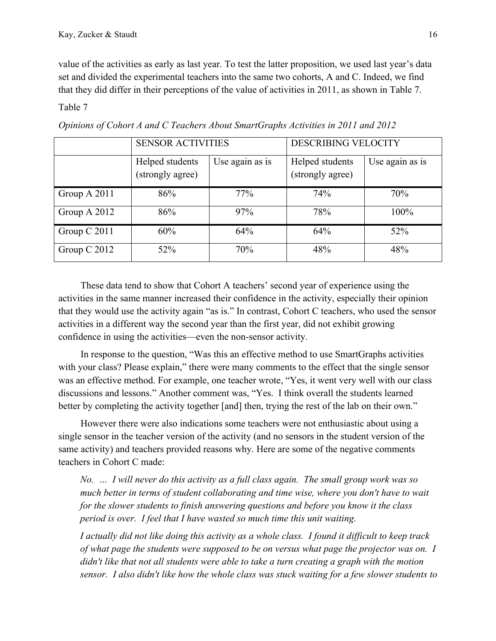value of the activities as early as last year. To test the latter proposition, we used last year's data set and divided the experimental teachers into the same two cohorts, A and C. Indeed, we find that they did differ in their perceptions of the value of activities in 2011, as shown in Table 7.

Table 7

|                | <b>SENSOR ACTIVITIES</b>            |                 | <b>DESCRIBING VELOCITY</b>          |                 |  |
|----------------|-------------------------------------|-----------------|-------------------------------------|-----------------|--|
|                | Helped students<br>(strongly agree) | Use again as is | Helped students<br>(strongly agree) | Use again as is |  |
| Group A 2011   | 86%                                 | 77%             | 74%                                 | 70%             |  |
| Group A 2012   | 86%                                 | 97%             | 78%                                 | 100%            |  |
| Group C 2011   | 60%                                 | 64%             | 64%                                 | 52%             |  |
| Group $C$ 2012 | 52%                                 | 70%             | 48%                                 | 48%             |  |

*Opinions of Cohort A and C Teachers About SmartGraphs Activities in 2011 and 2012*

These data tend to show that Cohort A teachers' second year of experience using the activities in the same manner increased their confidence in the activity, especially their opinion that they would use the activity again "as is." In contrast, Cohort C teachers, who used the sensor activities in a different way the second year than the first year, did not exhibit growing confidence in using the activities—even the non-sensor activity.

In response to the question, "Was this an effective method to use SmartGraphs activities with your class? Please explain," there were many comments to the effect that the single sensor was an effective method. For example, one teacher wrote, "Yes, it went very well with our class discussions and lessons." Another comment was, "Yes. I think overall the students learned better by completing the activity together [and] then, trying the rest of the lab on their own."

However there were also indications some teachers were not enthusiastic about using a single sensor in the teacher version of the activity (and no sensors in the student version of the same activity) and teachers provided reasons why. Here are some of the negative comments teachers in Cohort C made:

*No. … I will never do this activity as a full class again. The small group work was so much better in terms of student collaborating and time wise, where you don't have to wait for the slower students to finish answering questions and before you know it the class period is over. I feel that I have wasted so much time this unit waiting.*

*I actually did not like doing this activity as a whole class. I found it difficult to keep track of what page the students were supposed to be on versus what page the projector was on. I didn't like that not all students were able to take a turn creating a graph with the motion sensor. I also didn't like how the whole class was stuck waiting for a few slower students to*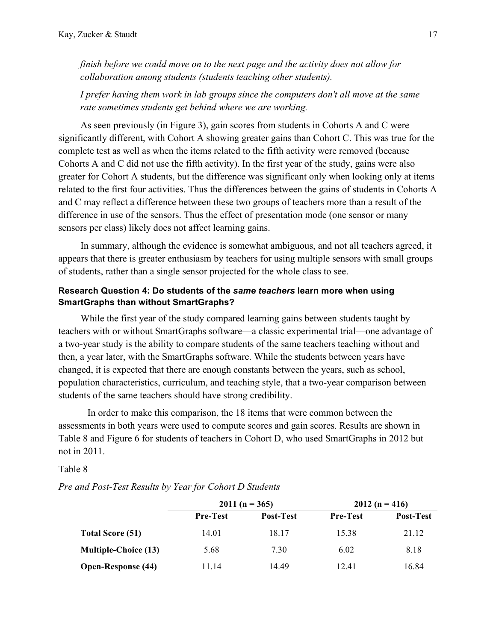*finish before we could move on to the next page and the activity does not allow for collaboration among students (students teaching other students).*

*I prefer having them work in lab groups since the computers don't all move at the same rate sometimes students get behind where we are working.*

As seen previously (in Figure 3), gain scores from students in Cohorts A and C were significantly different, with Cohort A showing greater gains than Cohort C. This was true for the complete test as well as when the items related to the fifth activity were removed (because Cohorts A and C did not use the fifth activity). In the first year of the study, gains were also greater for Cohort A students, but the difference was significant only when looking only at items related to the first four activities. Thus the differences between the gains of students in Cohorts A and C may reflect a difference between these two groups of teachers more than a result of the difference in use of the sensors. Thus the effect of presentation mode (one sensor or many sensors per class) likely does not affect learning gains.

In summary, although the evidence is somewhat ambiguous, and not all teachers agreed, it appears that there is greater enthusiasm by teachers for using multiple sensors with small groups of students, rather than a single sensor projected for the whole class to see.

# **Research Question 4: Do students of the** *same teachers* **learn more when using SmartGraphs than without SmartGraphs?**

While the first year of the study compared learning gains between students taught by teachers with or without SmartGraphs software—a classic experimental trial—one advantage of a two-year study is the ability to compare students of the same teachers teaching without and then, a year later, with the SmartGraphs software. While the students between years have changed, it is expected that there are enough constants between the years, such as school, population characteristics, curriculum, and teaching style, that a two-year comparison between students of the same teachers should have strong credibility.

In order to make this comparison, the 18 items that were common between the assessments in both years were used to compute scores and gain scores. Results are shown in Table 8 and Figure 6 for students of teachers in Cohort D, who used SmartGraphs in 2012 but not in 2011.

### Table 8

*Pre and Post-Test Results by Year for Cohort D Students*

|                             |                 | $2011(n = 365)$ | $2012(n = 416)$ |                  |  |
|-----------------------------|-----------------|-----------------|-----------------|------------------|--|
|                             | <b>Pre-Test</b> | Post-Test       | <b>Pre-Test</b> | <b>Post-Test</b> |  |
| Total Score (51)            | 14.01           | 18.17           | 15.38           | 21.12            |  |
| <b>Multiple-Choice (13)</b> | 5.68            | 7.30            | 6.02            | 8.18             |  |
| <b>Open-Response (44)</b>   | 11.14           | 14.49           | 12.41           | 16.84            |  |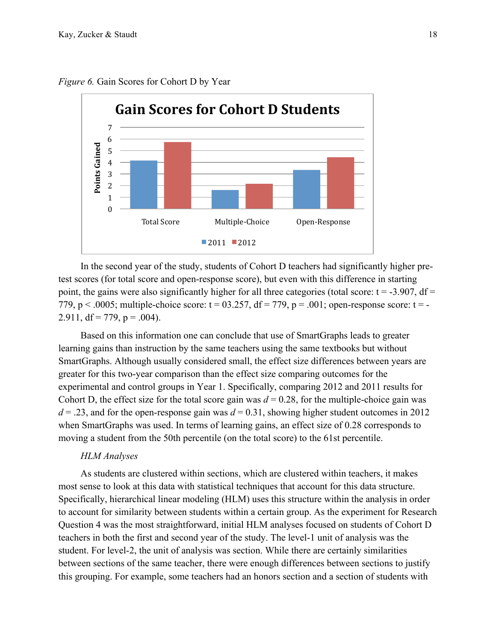

*Figure 6.* Gain Scores for Cohort D by Year

In the second year of the study, students of Cohort D teachers had significantly higher pretest scores (for total score and open-response score), but even with this difference in starting point, the gains were also significantly higher for all three categories (total score:  $t = -3.907$ , df = 779,  $p < .0005$ ; multiple-choice score:  $t = 03.257$ ,  $df = 779$ ,  $p = .001$ ; open-response score:  $t = -$ 2.911,  $df = 779$ ,  $p = .004$ ).

Based on this information one can conclude that use of SmartGraphs leads to greater learning gains than instruction by the same teachers using the same textbooks but without SmartGraphs. Although usually considered small, the effect size differences between years are greater for this two-year comparison than the effect size comparing outcomes for the experimental and control groups in Year 1. Specifically, comparing 2012 and 2011 results for Cohort D, the effect size for the total score gain was  $d = 0.28$ , for the multiple-choice gain was  $d = 0.23$ , and for the open-response gain was  $d = 0.31$ , showing higher student outcomes in 2012 when SmartGraphs was used. In terms of learning gains, an effect size of 0.28 corresponds to moving a student from the 50th percentile (on the total score) to the 61st percentile.

#### *HLM Analyses*

As students are clustered within sections, which are clustered within teachers, it makes most sense to look at this data with statistical techniques that account for this data structure. Specifically, hierarchical linear modeling (HLM) uses this structure within the analysis in order to account for similarity between students within a certain group. As the experiment for Research Question 4 was the most straightforward, initial HLM analyses focused on students of Cohort D teachers in both the first and second year of the study. The level-1 unit of analysis was the student. For level-2, the unit of analysis was section. While there are certainly similarities between sections of the same teacher, there were enough differences between sections to justify this grouping. For example, some teachers had an honors section and a section of students with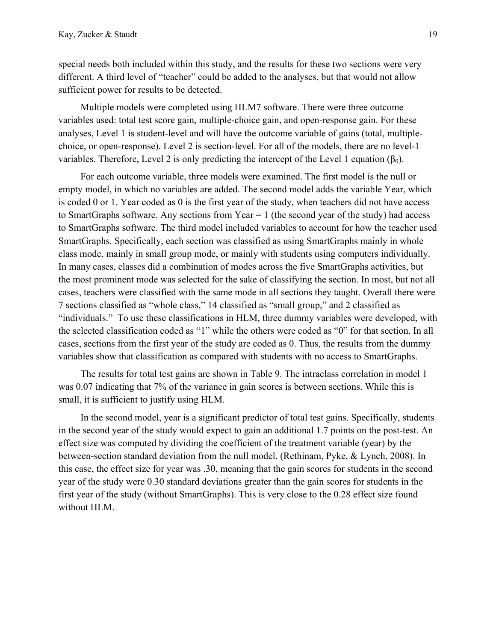special needs both included within this study, and the results for these two sections were very different. A third level of "teacher" could be added to the analyses, but that would not allow sufficient power for results to be detected.

Multiple models were completed using HLM7 software. There were three outcome variables used: total test score gain, multiple-choice gain, and open-response gain. For these analyses, Level 1 is student-level and will have the outcome variable of gains (total, multiplechoice, or open-response). Level 2 is section-level. For all of the models, there are no level-1 variables. Therefore, Level 2 is only predicting the intercept of the Level 1 equation ( $β<sub>0</sub>$ ).

For each outcome variable, three models were examined. The first model is the null or empty model, in which no variables are added. The second model adds the variable Year, which is coded 0 or 1. Year coded as 0 is the first year of the study, when teachers did not have access to SmartGraphs software. Any sections from Year = 1 (the second year of the study) had access to SmartGraphs software. The third model included variables to account for how the teacher used SmartGraphs. Specifically, each section was classified as using SmartGraphs mainly in whole class mode, mainly in small group mode, or mainly with students using computers individually. In many cases, classes did a combination of modes across the five SmartGraphs activities, but the most prominent mode was selected for the sake of classifying the section. In most, but not all cases, teachers were classified with the same mode in all sections they taught. Overall there were 7 sections classified as "whole class," 14 classified as "small group," and 2 classified as "individuals." To use these classifications in HLM, three dummy variables were developed, with the selected classification coded as "1" while the others were coded as "0" for that section. In all cases, sections from the first year of the study are coded as 0. Thus, the results from the dummy variables show that classification as compared with students with no access to SmartGraphs.

The results for total test gains are shown in Table 9. The intraclass correlation in model 1 was 0.07 indicating that 7% of the variance in gain scores is between sections. While this is small, it is sufficient to justify using HLM.

In the second model, year is a significant predictor of total test gains. Specifically, students in the second year of the study would expect to gain an additional 1.7 points on the post-test. An effect size was computed by dividing the coefficient of the treatment variable (year) by the between-section standard deviation from the null model. (Rethinam, Pyke, & Lynch, 2008). In this case, the effect size for year was .30, meaning that the gain scores for students in the second year of the study were 0.30 standard deviations greater than the gain scores for students in the first year of the study (without SmartGraphs). This is very close to the 0.28 effect size found without HLM.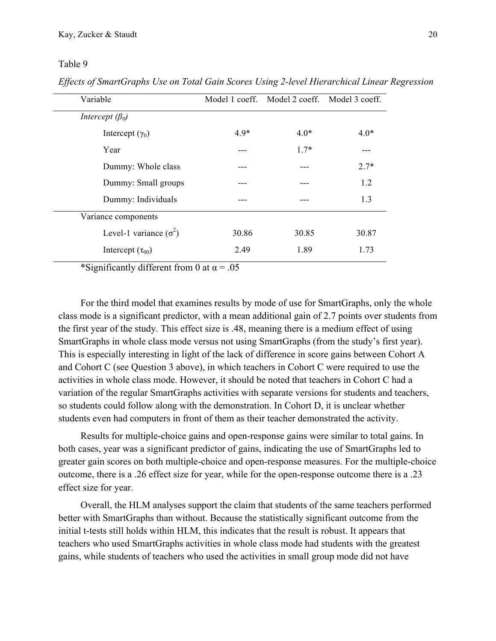Table 9

*Effects of SmartGraphs Use on Total Gain Scores Using 2-level Hierarchical Linear Regression*

| Variable                      |        | Model 1 coeff. Model 2 coeff. Model 3 coeff. |        |
|-------------------------------|--------|----------------------------------------------|--------|
| Intercept $(\beta_0)$         |        |                                              |        |
| Intercept $(\gamma_0)$        | $4.9*$ | $4.0*$                                       | $4.0*$ |
| Year                          |        | $1.7*$                                       |        |
| Dummy: Whole class            |        |                                              | $2.7*$ |
| Dummy: Small groups           |        |                                              | 1.2    |
| Dummy: Individuals            |        |                                              | 1.3    |
| Variance components           |        |                                              |        |
| Level-1 variance $(\sigma^2)$ | 30.86  | 30.85                                        | 30.87  |
| Intercept $(\tau_{00})$       | 2.49   | 1.89                                         | 1.73   |

\*Significantly different from 0 at  $\alpha$  = .05

For the third model that examines results by mode of use for SmartGraphs, only the whole class mode is a significant predictor, with a mean additional gain of 2.7 points over students from the first year of the study. This effect size is .48, meaning there is a medium effect of using SmartGraphs in whole class mode versus not using SmartGraphs (from the study's first year). This is especially interesting in light of the lack of difference in score gains between Cohort A and Cohort C (see Question 3 above), in which teachers in Cohort C were required to use the activities in whole class mode. However, it should be noted that teachers in Cohort C had a variation of the regular SmartGraphs activities with separate versions for students and teachers, so students could follow along with the demonstration. In Cohort D, it is unclear whether students even had computers in front of them as their teacher demonstrated the activity.

Results for multiple-choice gains and open-response gains were similar to total gains. In both cases, year was a significant predictor of gains, indicating the use of SmartGraphs led to greater gain scores on both multiple-choice and open-response measures. For the multiple-choice outcome, there is a .26 effect size for year, while for the open-response outcome there is a .23 effect size for year.

Overall, the HLM analyses support the claim that students of the same teachers performed better with SmartGraphs than without. Because the statistically significant outcome from the initial t-tests still holds within HLM, this indicates that the result is robust. It appears that teachers who used SmartGraphs activities in whole class mode had students with the greatest gains, while students of teachers who used the activities in small group mode did not have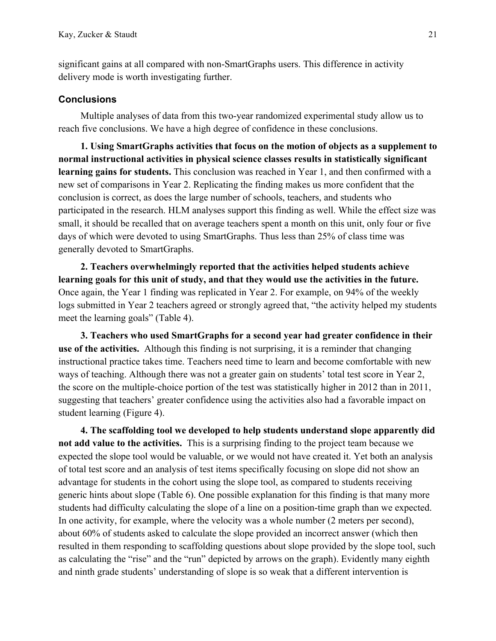significant gains at all compared with non-SmartGraphs users. This difference in activity delivery mode is worth investigating further.

### **Conclusions**

Multiple analyses of data from this two-year randomized experimental study allow us to reach five conclusions. We have a high degree of confidence in these conclusions.

**1. Using SmartGraphs activities that focus on the motion of objects as a supplement to normal instructional activities in physical science classes results in statistically significant learning gains for students.** This conclusion was reached in Year 1, and then confirmed with a new set of comparisons in Year 2. Replicating the finding makes us more confident that the conclusion is correct, as does the large number of schools, teachers, and students who participated in the research. HLM analyses support this finding as well. While the effect size was small, it should be recalled that on average teachers spent a month on this unit, only four or five days of which were devoted to using SmartGraphs. Thus less than 25% of class time was generally devoted to SmartGraphs.

**2. Teachers overwhelmingly reported that the activities helped students achieve learning goals for this unit of study, and that they would use the activities in the future.** Once again, the Year 1 finding was replicated in Year 2. For example, on 94% of the weekly logs submitted in Year 2 teachers agreed or strongly agreed that, "the activity helped my students meet the learning goals" (Table 4).

**3. Teachers who used SmartGraphs for a second year had greater confidence in their use of the activities.** Although this finding is not surprising, it is a reminder that changing instructional practice takes time. Teachers need time to learn and become comfortable with new ways of teaching. Although there was not a greater gain on students' total test score in Year 2, the score on the multiple-choice portion of the test was statistically higher in 2012 than in 2011, suggesting that teachers' greater confidence using the activities also had a favorable impact on student learning (Figure 4).

**4. The scaffolding tool we developed to help students understand slope apparently did not add value to the activities.** This is a surprising finding to the project team because we expected the slope tool would be valuable, or we would not have created it. Yet both an analysis of total test score and an analysis of test items specifically focusing on slope did not show an advantage for students in the cohort using the slope tool, as compared to students receiving generic hints about slope (Table 6). One possible explanation for this finding is that many more students had difficulty calculating the slope of a line on a position-time graph than we expected. In one activity, for example, where the velocity was a whole number (2 meters per second), about 60% of students asked to calculate the slope provided an incorrect answer (which then resulted in them responding to scaffolding questions about slope provided by the slope tool, such as calculating the "rise" and the "run" depicted by arrows on the graph). Evidently many eighth and ninth grade students' understanding of slope is so weak that a different intervention is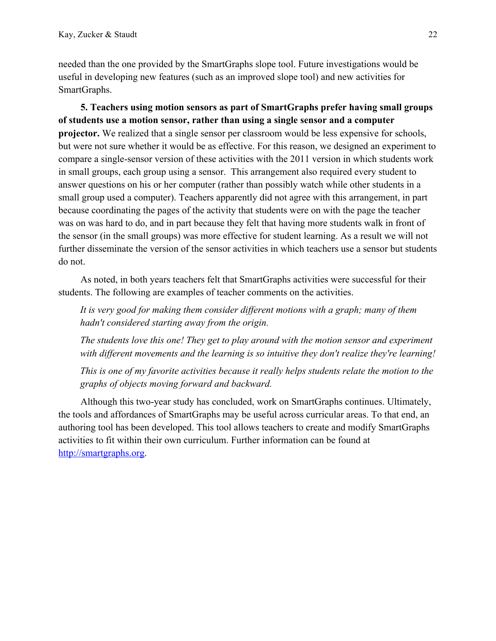needed than the one provided by the SmartGraphs slope tool. Future investigations would be useful in developing new features (such as an improved slope tool) and new activities for SmartGraphs.

**5. Teachers using motion sensors as part of SmartGraphs prefer having small groups of students use a motion sensor, rather than using a single sensor and a computer projector.** We realized that a single sensor per classroom would be less expensive for schools, but were not sure whether it would be as effective. For this reason, we designed an experiment to compare a single-sensor version of these activities with the 2011 version in which students work in small groups, each group using a sensor. This arrangement also required every student to answer questions on his or her computer (rather than possibly watch while other students in a small group used a computer). Teachers apparently did not agree with this arrangement, in part because coordinating the pages of the activity that students were on with the page the teacher was on was hard to do, and in part because they felt that having more students walk in front of the sensor (in the small groups) was more effective for student learning. As a result we will not further disseminate the version of the sensor activities in which teachers use a sensor but students do not.

As noted, in both years teachers felt that SmartGraphs activities were successful for their students. The following are examples of teacher comments on the activities.

*It is very good for making them consider different motions with a graph; many of them hadn't considered starting away from the origin.*

*The students love this one! They get to play around with the motion sensor and experiment with different movements and the learning is so intuitive they don't realize they're learning!*

*This is one of my favorite activities because it really helps students relate the motion to the graphs of objects moving forward and backward.*

Although this two-year study has concluded, work on SmartGraphs continues. Ultimately, the tools and affordances of SmartGraphs may be useful across curricular areas. To that end, an authoring tool has been developed. This tool allows teachers to create and modify SmartGraphs activities to fit within their own curriculum. Further information can be found at http://smartgraphs.org.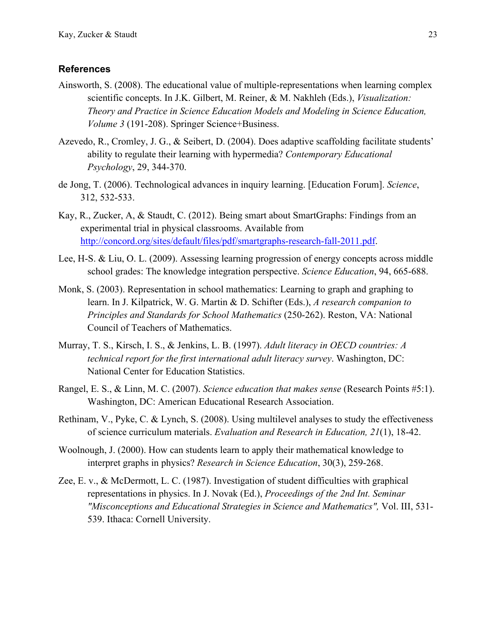### **References**

- Ainsworth, S. (2008). The educational value of multiple-representations when learning complex scientific concepts. In J.K. Gilbert, M. Reiner, & M. Nakhleh (Eds.), *Visualization: Theory and Practice in Science Education Models and Modeling in Science Education, Volume 3* (191-208). Springer Science+Business.
- Azevedo, R., Cromley, J. G., & Seibert, D. (2004). Does adaptive scaffolding facilitate students' ability to regulate their learning with hypermedia? *Contemporary Educational Psychology*, 29, 344-370.
- de Jong, T. (2006). Technological advances in inquiry learning. [Education Forum]. *Science*, 312, 532-533.
- Kay, R., Zucker, A, & Staudt, C. (2012). Being smart about SmartGraphs: Findings from an experimental trial in physical classrooms. Available from http://concord.org/sites/default/files/pdf/smartgraphs-research-fall-2011.pdf.
- Lee, H-S. & Liu, O. L. (2009). Assessing learning progression of energy concepts across middle school grades: The knowledge integration perspective. *Science Education*, 94, 665-688.
- Monk, S. (2003). Representation in school mathematics: Learning to graph and graphing to learn. In J. Kilpatrick, W. G. Martin & D. Schifter (Eds.), *A research companion to Principles and Standards for School Mathematics* (250-262). Reston, VA: National Council of Teachers of Mathematics.
- Murray, T. S., Kirsch, I. S., & Jenkins, L. B. (1997). *Adult literacy in OECD countries: A technical report for the first international adult literacy survey*. Washington, DC: National Center for Education Statistics.
- Rangel, E. S., & Linn, M. C. (2007). *Science education that makes sense* (Research Points #5:1). Washington, DC: American Educational Research Association.
- Rethinam, V., Pyke, C. & Lynch, S. (2008). Using multilevel analyses to study the effectiveness of science curriculum materials. *Evaluation and Research in Education, 21*(1), 18-42.
- Woolnough, J. (2000). How can students learn to apply their mathematical knowledge to interpret graphs in physics? *Research in Science Education*, 30(3), 259-268.
- Zee, E. v., & McDermott, L. C. (1987). Investigation of student difficulties with graphical representations in physics. In J. Novak (Ed.), *Proceedings of the 2nd Int. Seminar "Misconceptions and Educational Strategies in Science and Mathematics",* Vol. III, 531- 539. Ithaca: Cornell University.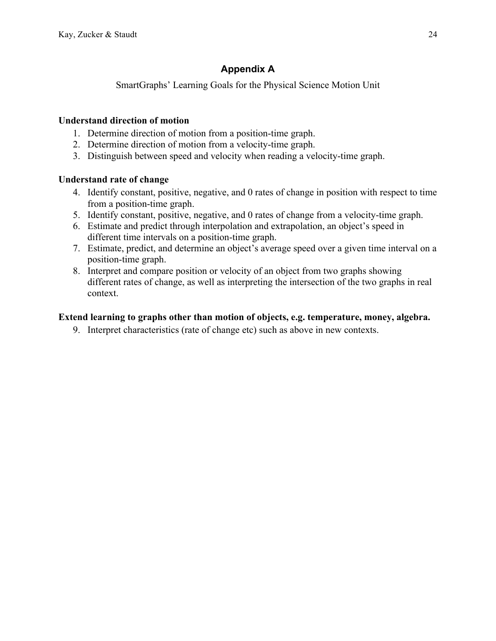# **Appendix A**

SmartGraphs' Learning Goals for the Physical Science Motion Unit

# **Understand direction of motion**

- 1. Determine direction of motion from a position-time graph.
- 2. Determine direction of motion from a velocity-time graph.
- 3. Distinguish between speed and velocity when reading a velocity-time graph.

# **Understand rate of change**

- 4. Identify constant, positive, negative, and 0 rates of change in position with respect to time from a position-time graph.
- 5. Identify constant, positive, negative, and 0 rates of change from a velocity-time graph.
- 6. Estimate and predict through interpolation and extrapolation, an object's speed in different time intervals on a position-time graph.
- 7. Estimate, predict, and determine an object's average speed over a given time interval on a position-time graph.
- 8. Interpret and compare position or velocity of an object from two graphs showing different rates of change, as well as interpreting the intersection of the two graphs in real context.

# **Extend learning to graphs other than motion of objects, e.g. temperature, money, algebra.**

9. Interpret characteristics (rate of change etc) such as above in new contexts.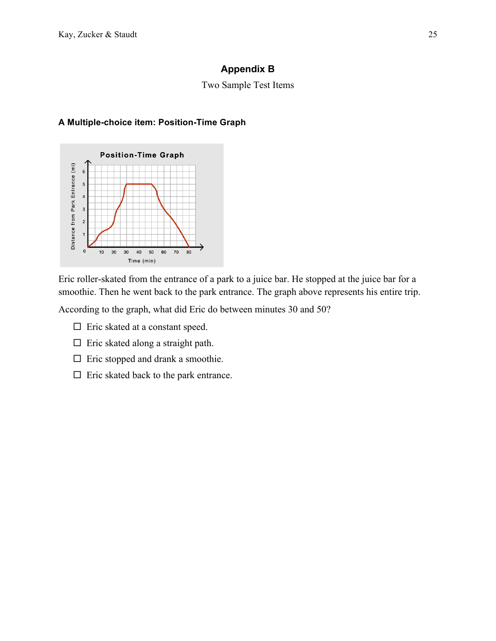# **Appendix B**

# Two Sample Test Items

# **A Multiple-choice item: Position-Time Graph**



Eric roller-skated from the entrance of a park to a juice bar. He stopped at the juice bar for a smoothie. Then he went back to the park entrance. The graph above represents his entire trip.

According to the graph, what did Eric do between minutes 30 and 50?

- $\square$  Eric skated at a constant speed.
- $\Box$  Eric skated along a straight path.
- $\square$  Eric stopped and drank a smoothie.
- $\Box$  Eric skated back to the park entrance.